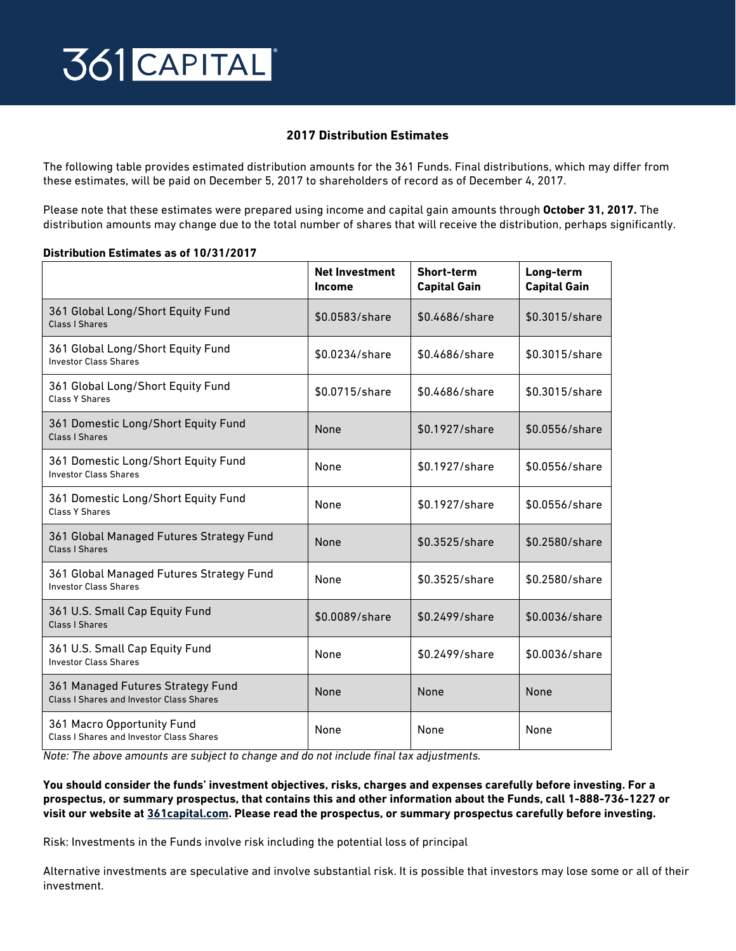## 361 CAPITAL

## **2017 Distribution Estimates**

The following table provides estimated distribution amounts for the 361 Funds. Final distributions, which may differ from these estimates, will be paid on December 5, 2017 to shareholders of record as of December 4, 2017.

Please note that these estimates were prepared using income and capital gain amounts through **October 31, 2017.** The distribution amounts may change due to the total number of shares that will receive the distribution, perhaps significantly.

## **Distribution Estimates as of 10/31/2017**

|                                                                                      | <b>Net Investment</b><br>Income | Short-term<br><b>Capital Gain</b> | Long-term<br><b>Capital Gain</b> |
|--------------------------------------------------------------------------------------|---------------------------------|-----------------------------------|----------------------------------|
| 361 Global Long/Short Equity Fund<br><b>Class I Shares</b>                           | \$0.0583/share                  | \$0.4686/share                    | \$0.3015/share                   |
| 361 Global Long/Short Equity Fund<br><b>Investor Class Shares</b>                    | \$0.0234/share                  | \$0.4686/share                    | \$0.3015/share                   |
| 361 Global Long/Short Equity Fund<br><b>Class Y Shares</b>                           | \$0.0715/share                  | \$0.4686/share                    | \$0.3015/share                   |
| 361 Domestic Long/Short Equity Fund<br><b>Class I Shares</b>                         | None                            | \$0.1927/share                    | \$0.0556/share                   |
| 361 Domestic Long/Short Equity Fund<br><b>Investor Class Shares</b>                  | None                            | \$0.1927/share                    | \$0.0556/share                   |
| 361 Domestic Long/Short Equity Fund<br><b>Class Y Shares</b>                         | None                            | \$0.1927/share                    | \$0.0556/share                   |
| 361 Global Managed Futures Strategy Fund<br>Class I Shares                           | None                            | \$0.3525/share                    | \$0.2580/share                   |
| 361 Global Managed Futures Strategy Fund<br><b>Investor Class Shares</b>             | None                            | \$0.3525/share                    | \$0.2580/share                   |
| 361 U.S. Small Cap Equity Fund<br>Class I Shares                                     | \$0.0089/share                  | \$0.2499/share                    | \$0.0036/share                   |
| 361 U.S. Small Cap Equity Fund<br><b>Investor Class Shares</b>                       | None                            | \$0.2499/share                    | \$0.0036/share                   |
| 361 Managed Futures Strategy Fund<br><b>Class I Shares and Investor Class Shares</b> | None                            | None                              | None                             |
| 361 Macro Opportunity Fund<br><b>Class I Shares and Investor Class Shares</b>        | None                            | None                              | None                             |

*Note: The above amounts are subject to change and do not include final tax adjustments.* 

**You should consider the funds' investment objectives, risks, charges and expenses carefully before investing. For a prospectus, or summary prospectus, that contains this and other information about the Funds, call 1-888-736-1227 or visit our website at [361capital.com.](http://361capital.com) Please read the prospectus, or summary prospectus carefully before investing.** 

Risk: Investments in the Funds involve risk including the potential loss of principal

Alternative investments are speculative and involve substantial risk. It is possible that investors may lose some or all of their investment.